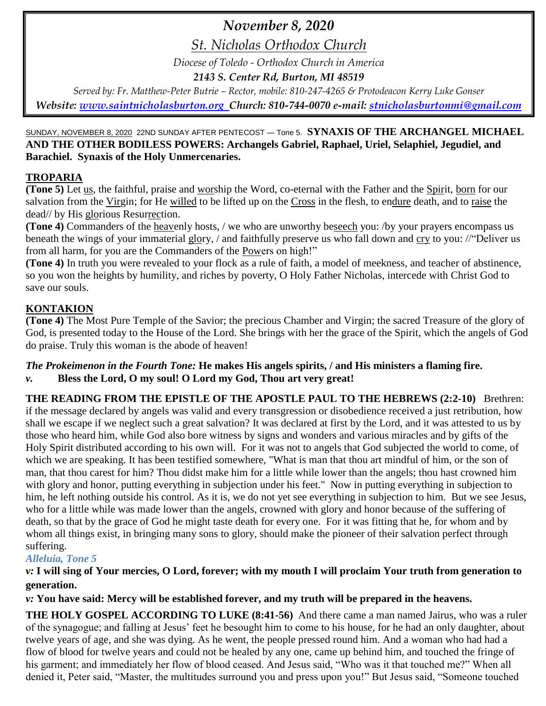# *November 8, 2020*

*St. Nicholas Orthodox Church*

*Diocese of Toledo - Orthodox Church in America*

*2143 S. Center Rd, Burton, MI 48519*

*Served by: Fr. Matthew-Peter Butrie – Rector, mobile: 810-247-4265 & Protodeacon Kerry Luke Gonser Website: [www.saintnicholasburton.org](http://www.saintnicholasburton.org/) Church: 810-744-0070 e-mail: [stnicholasburtonmi@gmail.com](mailto:stnicholasburtonmi@gmail.com)*

### SUNDAY, NOVEMBER 8, 2020 22ND SUNDAY AFTER PENTECOST — Tone 5. **SYNAXIS OF THE ARCHANGEL MICHAEL AND THE OTHER BODILESS POWERS: Archangels Gabriel, Raphael, Uriel, Selaphiel, Jegudiel, and Barachiel. Synaxis of the Holy Unmercenaries.**

# **TROPARIA**

**(Tone 5)** Let us, the faithful, praise and worship the Word, co-eternal with the Father and the Spirit, born for our salvation from the Virgin; for He willed to be lifted up on the Cross in the flesh, to endure death, and to raise the dead// by His glorious Resurrection.

**(Tone 4)** Commanders of the heavenly hosts, / we who are unworthy beseech you: /by your prayers encompass us beneath the wings of your immaterial glory, / and faithfully preserve us who fall down and cry to you: //"Deliver us from all harm, for you are the Commanders of the Powers on high!"

**(Tone 4)** In truth you were revealed to your flock as a rule of faith, a model of meekness, and teacher of abstinence, so you won the heights by humility, and riches by poverty, O Holy Father Nicholas, intercede with Christ God to save our souls.

# **KONTAKION**

**(Tone 4)** The Most Pure Temple of the Savior; the precious Chamber and Virgin; the sacred Treasure of the glory of God, is presented today to the House of the Lord. She brings with her the grace of the Spirit, which the angels of God do praise. Truly this woman is the abode of heaven!

#### *The Prokeimenon in the Fourth Tone:* **He makes His angels spirits, / and His ministers a flaming fire.** *v.* **Bless the Lord, O my soul! O Lord my God, Thou art very great!**

**THE READING FROM THE EPISTLE OF THE APOSTLE PAUL TO THE HEBREWS (2:2-10)** Brethren: if the message declared by angels was valid and every transgression or disobedience received a just retribution, how shall we escape if we neglect such a great salvation? It was declared at first by the Lord, and it was attested to us by those who heard him, while God also bore witness by signs and wonders and various miracles and by gifts of the Holy Spirit distributed according to his own will. For it was not to angels that God subjected the world to come, of which we are speaking. It has been testified somewhere, "What is man that thou art mindful of him, or the son of man, that thou carest for him? Thou didst make him for a little while lower than the angels; thou hast crowned him with glory and honor, putting everything in subjection under his feet." Now in putting everything in subjection to him, he left nothing outside his control. As it is, we do not yet see everything in subjection to him. But we see Jesus, who for a little while was made lower than the angels, crowned with glory and honor because of the suffering of death, so that by the grace of God he might taste death for every one. For it was fitting that he, for whom and by whom all things exist, in bringing many sons to glory, should make the pioneer of their salvation perfect through suffering.

# *Alleluia, Tone 5*

# *v:* **I will sing of Your mercies, O Lord, forever; with my mouth I will proclaim Your truth from generation to generation.**

*v:* **You have said: Mercy will be established forever, and my truth will be prepared in the heavens.**

**THE HOLY GOSPEL ACCORDING TO LUKE (8:41-56)** And there came a man named Jairus, who was a ruler of the synagogue; and falling at Jesus' feet he besought him to come to his house, for he had an only daughter, about twelve years of age, and she was dying. As he went, the people pressed round him. And a woman who had had a flow of blood for twelve years and could not be healed by any one, came up behind him, and touched the fringe of his garment; and immediately her flow of blood ceased. And Jesus said, "Who was it that touched me?" When all denied it, Peter said, "Master, the multitudes surround you and press upon you!" But Jesus said, "Someone touched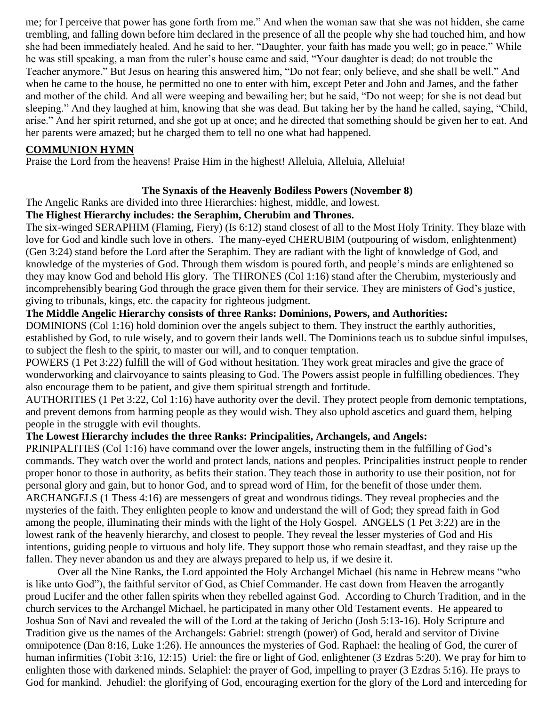me; for I perceive that power has gone forth from me." And when the woman saw that she was not hidden, she came trembling, and falling down before him declared in the presence of all the people why she had touched him, and how she had been immediately healed. And he said to her, "Daughter, your faith has made you well; go in peace." While he was still speaking, a man from the ruler's house came and said, "Your daughter is dead; do not trouble the Teacher anymore." But Jesus on hearing this answered him, "Do not fear; only believe, and she shall be well." And when he came to the house, he permitted no one to enter with him, except Peter and John and James, and the father and mother of the child. And all were weeping and bewailing her; but he said, "Do not weep; for she is not dead but sleeping." And they laughed at him, knowing that she was dead. But taking her by the hand he called, saying, "Child, arise." And her spirit returned, and she got up at once; and he directed that something should be given her to eat. And her parents were amazed; but he charged them to tell no one what had happened.

#### **COMMUNION HYMN**

Praise the Lord from the heavens! Praise Him in the highest! Alleluia, Alleluia, Alleluia!

### **The Synaxis of the Heavenly Bodiless Powers (November 8)**

The Angelic Ranks are divided into three Hierarchies: highest, middle, and lowest.

### **The Highest Hierarchy includes: the Seraphim, Cherubim and Thrones.**

The six-winged SERAPHIM (Flaming, Fiery) (Is 6:12) stand closest of all to the Most Holy Trinity. They blaze with love for God and kindle such love in others. The many-eyed CHERUBIM (outpouring of wisdom, enlightenment) (Gen 3:24) stand before the Lord after the Seraphim. They are radiant with the light of knowledge of God, and knowledge of the mysteries of God. Through them wisdom is poured forth, and people's minds are enlightened so they may know God and behold His glory. The THRONES (Col 1:16) stand after the Cherubim, mysteriously and incomprehensibly bearing God through the grace given them for their service. They are ministers of God's justice, giving to tribunals, kings, etc. the capacity for righteous judgment.

#### **The Middle Angelic Hierarchy consists of three Ranks: Dominions, Powers, and Authorities:**

DOMINIONS (Col 1:16) hold dominion over the angels subject to them. They instruct the earthly authorities, established by God, to rule wisely, and to govern their lands well. The Dominions teach us to subdue sinful impulses, to subject the flesh to the spirit, to master our will, and to conquer temptation.

POWERS (1 Pet 3:22) fulfill the will of God without hesitation. They work great miracles and give the grace of wonderworking and clairvoyance to saints pleasing to God. The Powers assist people in fulfilling obediences. They also encourage them to be patient, and give them spiritual strength and fortitude.

AUTHORITIES (1 Pet 3:22, Col 1:16) have authority over the devil. They protect people from demonic temptations, and prevent demons from harming people as they would wish. They also uphold ascetics and guard them, helping people in the struggle with evil thoughts.

### **The Lowest Hierarchy includes the three Ranks: Principalities, Archangels, and Angels:**

PRINIPALITIES (Col 1:16) have command over the lower angels, instructing them in the fulfilling of God's commands. They watch over the world and protect lands, nations and peoples. Principalities instruct people to render proper honor to those in authority, as befits their station. They teach those in authority to use their position, not for personal glory and gain, but to honor God, and to spread word of Him, for the benefit of those under them. ARCHANGELS (1 Thess 4:16) are messengers of great and wondrous tidings. They reveal prophecies and the mysteries of the faith. They enlighten people to know and understand the will of God; they spread faith in God among the people, illuminating their minds with the light of the Holy Gospel. ANGELS (1 Pet 3:22) are in the lowest rank of the heavenly hierarchy, and closest to people. They reveal the lesser mysteries of God and His intentions, guiding people to virtuous and holy life. They support those who remain steadfast, and they raise up the fallen. They never abandon us and they are always prepared to help us, if we desire it.

Over all the Nine Ranks, the Lord appointed the Holy Archangel Michael (his name in Hebrew means "who is like unto God"), the faithful servitor of God, as Chief Commander. He cast down from Heaven the arrogantly proud Lucifer and the other fallen spirits when they rebelled against God. According to Church Tradition, and in the church services to the Archangel Michael, he participated in many other Old Testament events. He appeared to Joshua Son of Navi and revealed the will of the Lord at the taking of Jericho (Josh 5:13-16). Holy Scripture and Tradition give us the names of the Archangels: Gabriel: strength (power) of God, herald and servitor of Divine omnipotence (Dan 8:16, Luke 1:26). He announces the mysteries of God. Raphael: the healing of God, the curer of human infirmities (Tobit 3:16, 12:15) Uriel: the fire or light of God, enlightener (3 Ezdras 5:20). We pray for him to enlighten those with darkened minds. Selaphiel: the prayer of God, impelling to prayer (3 Ezdras 5:16). He prays to God for mankind. Jehudiel: the glorifying of God, encouraging exertion for the glory of the Lord and interceding for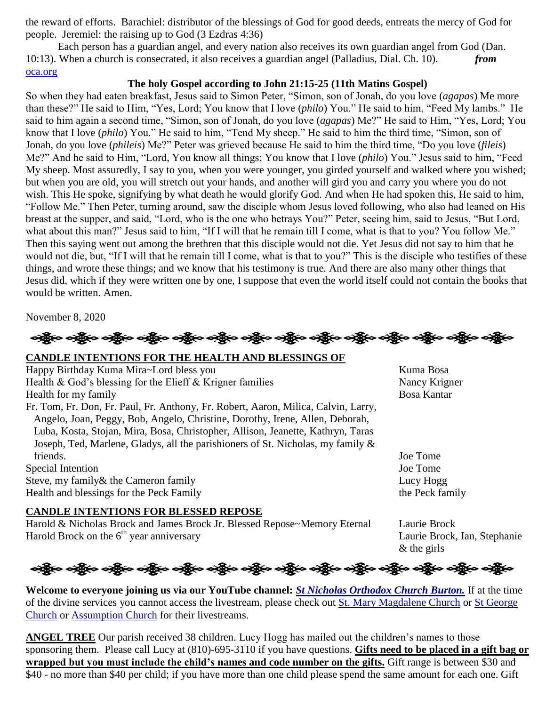the reward of efforts. Barachiel: distributor of the blessings of God for good deeds, entreats the mercy of God for people. Jeremiel: the raising up to God (3 Ezdras 4:36)

Each person has a guardian angel, and every nation also receives its own guardian angel from God (Dan. 10:13). When a church is consecrated, it also receives a guardian angel (Palladius, Dial. Ch. 10). *from*  [oca.org](https://www.oca.org/saints/lives/2020/11/08/103244-synaxis-of-the-archangel-michael-and-the-other-bodiless-powers)

#### **The holy Gospel according to John 21:15-25 (11th Matins Gospel)**

So when they had eaten breakfast, Jesus said to Simon Peter, "Simon, son of Jonah, do you love (*agapas*) Me more than these?" He said to Him, "Yes, Lord; You know that I love (*philo*) You." He said to him, "Feed My lambs." He said to him again a second time, "Simon, son of Jonah, do you love (*agapas*) Me?" He said to Him, "Yes, Lord; You know that I love (*philo*) You." He said to him, "Tend My sheep." He said to him the third time, "Simon, son of Jonah, do you love (*phileis*) Me?" Peter was grieved because He said to him the third time, "Do you love (*fileis*) Me?" And he said to Him, "Lord, You know all things; You know that I love (*philo*) You." Jesus said to him, "Feed My sheep. Most assuredly, I say to you, when you were younger, you girded yourself and walked where you wished; but when you are old, you will stretch out your hands, and another will gird you and carry you where you do not wish. This He spoke, signifying by what death he would glorify God. And when He had spoken this, He said to him, "Follow Me." Then Peter, turning around, saw the disciple whom Jesus loved following, who also had leaned on His breast at the supper, and said, "Lord, who is the one who betrays You?" Peter, seeing him, said to Jesus, "But Lord, what about this man?" Jesus said to him, "If I will that he remain till I come, what is that to you? You follow Me." Then this saying went out among the brethren that this disciple would not die. Yet Jesus did not say to him that he would not die, but, "If I will that he remain till I come, what is that to you?" This is the disciple who testifies of these things, and wrote these things; and we know that his testimony is true. And there are also many other things that Jesus did, which if they were written one by one, I suppose that even the world itself could not contain the books that would be written. Amen.

November 8, 2020



### **CANDLE INTENTIONS FOR THE HEALTH AND BLESSINGS OF**

Happy Birthday Kuma Mira~Lord bless you Kuma Bosa Health & God's blessing for the Elieff & Krigner families Nancy Krigner Health for my family Bosa Kantar Fr. Tom, Fr. Don, Fr. Paul, Fr. Anthony, Fr. Robert, Aaron, Milica, Calvin, Larry, Angelo, Joan, Peggy, Bob, Angelo, Christine, Dorothy, Irene, Allen, Deborah, Luba, Kosta, Stojan, Mira, Bosa, Christopher, Allison, Jeanette, Kathryn, Taras

Joseph, Ted, Marlene, Gladys, all the parishioners of St. Nicholas, my family & friends. Joe Tome Special Intention Joe Tome

Steve, my family & the Cameron family Lucy Hogg Lucy Hogg Health and blessings for the Peck Family the Peck family the Peck family

#### **CANDLE INTENTIONS FOR BLESSED REPOSE**

Harold & Nicholas Brock and James Brock Jr. Blessed Repose~Memory Eternal Laurie Brock Harold Brock on the 6<sup>th</sup> year anniversary Laurie Brock, Ian, Stephanie

& the girls

# ခရွို့လ ခရွို့လ ခရွို့လ ခရွို့လ ခရွို့လ ခရွို့လ ခရွို့လ ခရွို့လ ခရွို့လ ခရွို့လ ခရွို့လ ခရွို့လ ခရွို့လ ခရွို့လ

**Welcome to everyone joining us via our YouTube channel:** *[St Nicholas Orthodox Church Burton.](https://www.youtube.com/channel/UC59tV-Re443z-GCoETAUvfA)* If at the time of the divine services you cannot access the livestream, please check out [St. Mary Magdalene Church](https://www.youtube.com/channel/UClHAqZrWkXdYELujbbIslHg) or St George [Church](https://www.youtube.com/channel/UCpLWfxMIJK4uQOV41ekE6Wg/videos?view=2&flow=grid) or [Assumption Church](https://www.facebook.com/AssumptionGrandBlanc/) for their livestreams.

**ANGEL TREE** Our parish received 38 children. Lucy Hogg has mailed out the children's names to those sponsoring them. Please call Lucy at (810)-695-3110 if you have questions. **Gifts need to be placed in a gift bag or wrapped but you must include the child's names and code number on the gifts.** Gift range is between \$30 and \$40 - no more than \$40 per child; if you have more than one child please spend the same amount for each one. Gift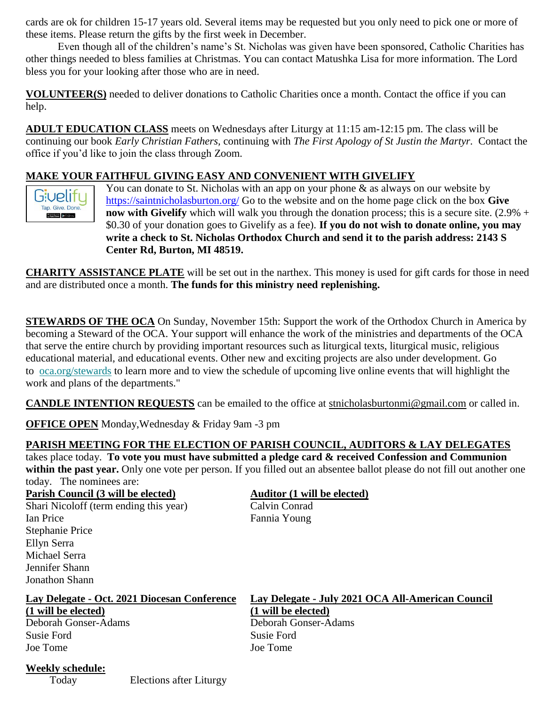cards are ok for children 15-17 years old. Several items may be requested but you only need to pick one or more of these items. Please return the gifts by the first week in December.

Even though all of the children's name's St. Nicholas was given have been sponsored, Catholic Charities has other things needed to bless families at Christmas. You can contact Matushka Lisa for more information. The Lord bless you for your looking after those who are in need.

**VOLUNTEER(S)** needed to deliver donations to Catholic Charities once a month. Contact the office if you can help.

**ADULT EDUCATION CLASS** meets on Wednesdays after Liturgy at 11:15 am-12:15 pm. The class will be continuing our book *Early Christian Fathers,* continuing with *The First Apology of St Justin the Martyr.* Contact the office if you'd like to join the class through Zoom*.*

# **MAKE YOUR FAITHFUL GIVING EASY AND CONVENIENT WITH GIVELIFY**



You can donate to St. Nicholas with an app on your phone  $\&$  as always on our website by <https://saintnicholasburton.org/> Go to the website and on the home page click on the box **Give now with Givelify** which will walk you through the donation process; this is a secure site. (2.9% + \$0.30 of your donation goes to Givelify as a fee). **If you do not wish to donate online, you may write a check to St. Nicholas Orthodox Church and send it to the parish address: 2143 S Center Rd, Burton, MI 48519.**

**CHARITY ASSISTANCE PLATE** will be set out in the narthex. This money is used for gift cards for those in need and are distributed once a month. **The funds for this ministry need replenishing.**

**STEWARDS OF THE OCA** On Sunday, November 15th: Support the work of the Orthodox Church in America by becoming a Steward of the OCA. Your support will enhance the work of the ministries and departments of the OCA that serve the entire church by providing important resources such as liturgical texts, liturgical music, religious educational material, and educational events. Other new and exciting projects are also under development. Go to [oca.org/stewards](https://bdoca.us19.list-manage.com/track/click?u=8637fd6ca03b533ebeb2815cf&id=c105c6fb6f&e=91ce1b243d) to learn more and to view the schedule of upcoming live online events that will highlight the work and plans of the departments."

**CANDLE INTENTION REQUESTS** can be emailed to the office at [stnicholasburtonmi@gmail.com](mailto:stnicholasburtonmi@gmail.com) or called in.

**OFFICE OPEN** Monday,Wednesday & Friday 9am -3 pm

# **PARISH MEETING FOR THE ELECTION OF PARISH COUNCIL, AUDITORS & LAY DELEGATES**

takes place today. **To vote you must have submitted a pledge card & received Confession and Communion within the past year.** Only one vote per person. If you filled out an absentee ballot please do not fill out another one today. The nominees are:

**Parish Council (3 will be elected) Auditor (1 will be elected)** 

Shari Nicoloff (term ending this year) Calvin Conrad Ian Price Fannia Young Stephanie Price Ellyn Serra Michael Serra Jennifer Shann Jonathon Shann

#### **Lay Delegate - Oct. 2021 Diocesan Conference Lay Delegate - July 2021 OCA All-American Council (1 will be elected) (1 will be elected)**

Deborah Gonser-Adams Deborah Gonser-Adams Susie Ford Susie Ford Joe Tome Joe Tome

**Weekly schedule:**

Today Elections after Liturgy